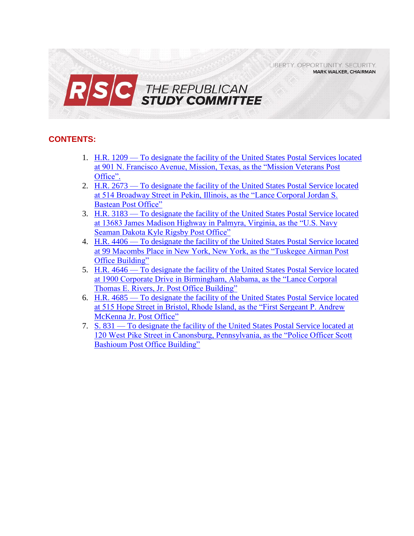LIBERTY, OPPORTUNITY, SECURITY, **MARK WALKER, CHAIRMAN** 



# **CONTENTS:**

- 1. H.R. 1209 [To designate the facility of the United States Postal Services located](#page-1-0)  [at 901 N. Francisco Avenue, Mission, Texas, as the "Mission Veterans Post](#page-1-0)  [Office".](#page-1-0)
- 2. H.R. 2673 [To designate the facility of the United States Postal Service located](#page-3-0)  [at 514 Broadway Street in Pekin, Illinois, as the "Lance Corporal Jordan S.](#page-3-0)  [Bastean Post Office"](#page-3-0)
- 3. H.R. 3183 [To designate the facility of the United](#page-5-0) States Postal Service located [at 13683 James Madison Highway in Palmyra, Virginia, as the "U.S. Navy](#page-5-0)  [Seaman Dakota Kyle Rigsby Post Office"](#page-5-0)
- 4. H.R. 4406 [To designate the facility of the United States Postal Service located](#page-7-0)  [at 99 Macombs Place in New York, New York, as the "Tuskegee Airman Post](#page-7-0)  [Office Building"](#page-7-0)
- 5. H.R. 4646 [To designate the facility of the United States Postal Service located](#page-9-0)  [at 1900 Corporate Drive in Birmingham, Alabama, as the "Lance Corporal](#page-9-0)  [Thomas E. Rivers, Jr. Post Office Building"](#page-9-0)
- 6. H.R. 4685 [To designate the facility of the United States Postal Service located](#page-11-0)  [at 515 Hope Street in Bristol, Rhode Island, as the "First Sergeant P. Andrew](#page-11-0)  [McKenna Jr. Post Office"](#page-11-0)
- 7. S. 831 [To designate the facility of the United States Postal Service located at](#page-13-0)  [120 West Pike Street in Canonsburg, Pennsylvania, as the "Police Officer Scott](#page-13-0)  [Bashioum Post Office Building"](#page-13-0)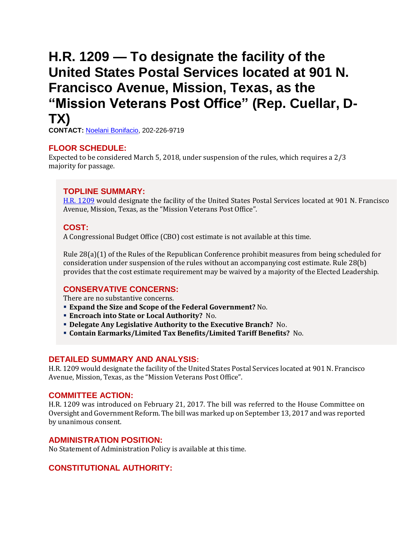# <span id="page-1-0"></span>**H.R. 1209 — To designate the facility of the United States Postal Services located at 901 N. Francisco Avenue, Mission, Texas, as the "Mission Veterans Post Office" (Rep. Cuellar, D-TX)**

**CONTACT:** [Noelani Bonifacio,](mailto:Noelani.Bonifacio@mail.house.gov) 202-226-9719

## **FLOOR SCHEDULE:**

Expected to be considered March 5, 2018, under suspension of the rules, which requires a 2/3 majority for passage.

## **TOPLINE SUMMARY:**

[H.R. 1209](https://www.congress.gov/115/bills/hr1209/BILLS-115hr1209ih.pdf) would designate the facility of the United States Postal Services located at 901 N. Francisco Avenue, Mission, Texas, as the "Mission Veterans Post Office".

## **COST:**

A Congressional Budget Office (CBO) cost estimate is not available at this time.

Rule 28(a)(1) of the Rules of the Republican Conference prohibit measures from being scheduled for consideration under suspension of the rules without an accompanying cost estimate. Rule 28(b) provides that the cost estimate requirement may be waived by a majority of the Elected Leadership.

### **CONSERVATIVE CONCERNS:**

There are no substantive concerns.

- **Expand the Size and Scope of the Federal Government?** No.
- **Encroach into State or Local Authority?** No.
- **Delegate Any Legislative Authority to the Executive Branch?** No.
- **Contain Earmarks/Limited Tax Benefits/Limited Tariff Benefits?** No.

### **DETAILED SUMMARY AND ANALYSIS:**

H.R. 1209 would designate the facility of the United States Postal Services located at 901 N. Francisco Avenue, Mission, Texas, as the "Mission Veterans Post Office".

### **COMMITTEE ACTION:**

H.R. 1209 was introduced on February 21, 2017. The bill was referred to the House Committee on Oversight and Government Reform. The bill was marked up on September 13, 2017 and was reported by unanimous consent.

### **ADMINISTRATION POSITION:**

No Statement of Administration Policy is available at this time.

## **CONSTITUTIONAL AUTHORITY:**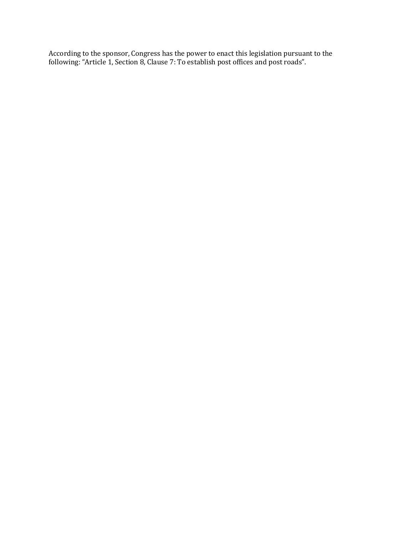According to the sponsor, Congress has the power to enact this legislation pursuant to the following: "Article 1, Section 8, Clause 7: To establish post offices and post roads".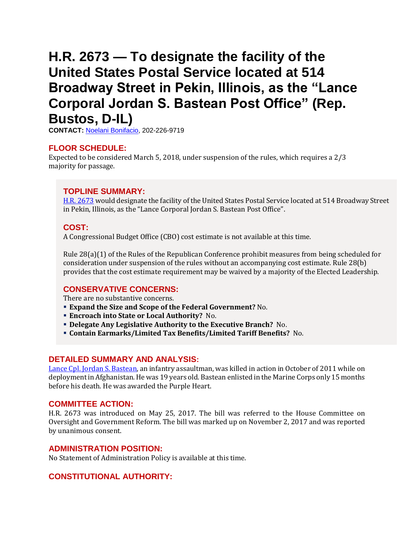# <span id="page-3-0"></span>**H.R. 2673 — To designate the facility of the United States Postal Service located at 514 Broadway Street in Pekin, Illinois, as the "Lance Corporal Jordan S. Bastean Post Office" (Rep. Bustos, D-IL)**

**CONTACT:** [Noelani Bonifacio,](mailto:Noelani.Bonifacio@mail.house.gov) 202-226-9719

## **FLOOR SCHEDULE:**

Expected to be considered March 5, 2018, under suspension of the rules, which requires a 2/3 majority for passage.

## **TOPLINE SUMMARY:**

[H.R. 2673](https://www.congress.gov/115/bills/hr2673/BILLS-115hr2673ih.pdf) would designate the facility of the United States Postal Service located at 514 Broadway Street in Pekin, Illinois, as the "Lance Corporal Jordan S. Bastean Post Office".

## **COST:**

A Congressional Budget Office (CBO) cost estimate is not available at this time.

Rule 28(a)(1) of the Rules of the Republican Conference prohibit measures from being scheduled for consideration under suspension of the rules without an accompanying cost estimate. Rule 28(b) provides that the cost estimate requirement may be waived by a majority of the Elected Leadership.

## **CONSERVATIVE CONCERNS:**

There are no substantive concerns.

- **Expand the Size and Scope of the Federal Government?** No.
- **Encroach into State or Local Authority?** No.
- **Delegate Any Legislative Authority to the Executive Branch?** No.
- **Contain Earmarks/Limited Tax Benefits/Limited Tariff Benefits?** No.

### **DETAILED SUMMARY AND ANALYSIS:**

[Lance Cpl. Jordan S. Bastean,](http://www.sandiegouniontribune.com/military/sdut-twentynine-palms-marine-killed-afghanistan-lance-c-2011oct24-story.html) an infantry assaultman, was killed in action in October of 2011 while on deployment in Afghanistan. He was 19 years old. Bastean enlisted in the Marine Corps only 15 months before his death. He was awarded the Purple Heart.

### **COMMITTEE ACTION:**

H.R. 2673 was introduced on May 25, 2017. The bill was referred to the House Committee on Oversight and Government Reform. The bill was marked up on November 2, 2017 and was reported by unanimous consent.

### **ADMINISTRATION POSITION:**

No Statement of Administration Policy is available at this time.

## **CONSTITUTIONAL AUTHORITY:**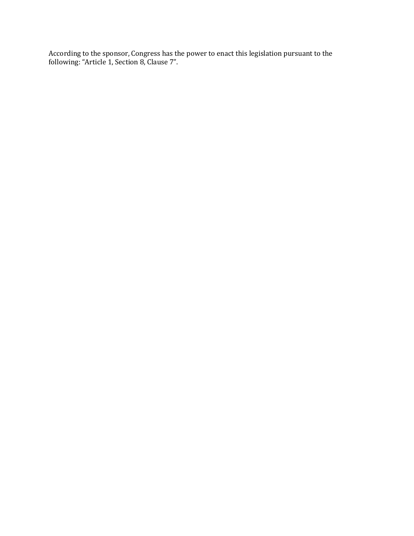According to the sponsor, Congress has the power to enact this legislation pursuant to the following: "Article 1, Section 8, Clause 7".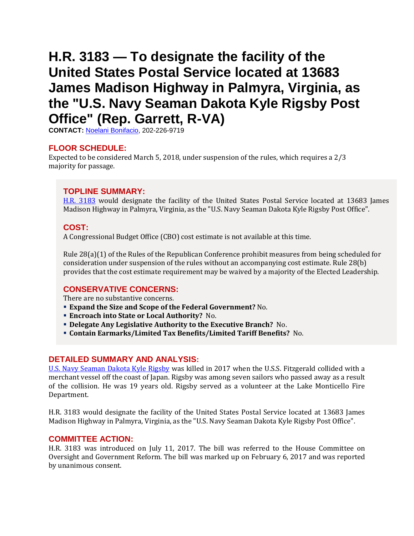# <span id="page-5-0"></span>**H.R. 3183 — To designate the facility of the United States Postal Service located at 13683 James Madison Highway in Palmyra, Virginia, as the "U.S. Navy Seaman Dakota Kyle Rigsby Post Office" (Rep. Garrett, R-VA)**

**CONTACT:** [Noelani Bonifacio,](mailto:Noelani.Bonifacio@mail.house.gov) 202-226-9719

## **FLOOR SCHEDULE:**

Expected to be considered March 5, 2018, under suspension of the rules, which requires a 2/3 majority for passage.

## **TOPLINE SUMMARY:**

[H.R. 3183](https://www.congress.gov/115/bills/hr3183/BILLS-115hr3183ih.pdf) would designate the facility of the United States Postal Service located at 13683 James Madison Highway in Palmyra, Virginia, as the "U.S. Navy Seaman Dakota Kyle Rigsby Post Office".

## **COST:**

A Congressional Budget Office (CBO) cost estimate is not available at this time.

Rule 28(a)(1) of the Rules of the Republican Conference prohibit measures from being scheduled for consideration under suspension of the rules without an accompanying cost estimate. Rule 28(b) provides that the cost estimate requirement may be waived by a majority of the Elected Leadership.

## **CONSERVATIVE CONCERNS:**

There are no substantive concerns.

- **Expand the Size and Scope of the Federal Government?** No.
- **Encroach into State or Local Authority?** No.
- **Delegate Any Legislative Authority to the Executive Branch?** No.
- **Contain Earmarks/Limited Tax Benefits/Limited Tariff Benefits?** No.

## **DETAILED SUMMARY AND ANALYSIS:**

[U.S. Navy Seaman Dakota Kyle Rigsby](file:///C:/Users/CB/AppData/Roaming/Microsoft/Word/wtvr.com/2017/06/18/dakota-kyle-rigsby-dead-uss-fitzgerald-japan/) was killed in 2017 when the U.S.S. Fitzgerald collided with a merchant vessel off the coast of Japan. Rigsby was among seven sailors who passed away as a result of the collision. He was 19 years old. Rigsby served as a volunteer at the Lake Monticello Fire Department.

H.R. 3183 would designate the facility of the United States Postal Service located at 13683 James Madison Highway in Palmyra, Virginia, as the "U.S. Navy Seaman Dakota Kyle Rigsby Post Office".

## **COMMITTEE ACTION:**

H.R. 3183 was introduced on July 11, 2017. The bill was referred to the House Committee on Oversight and Government Reform. The bill was marked up on February 6, 2017 and was reported by unanimous consent.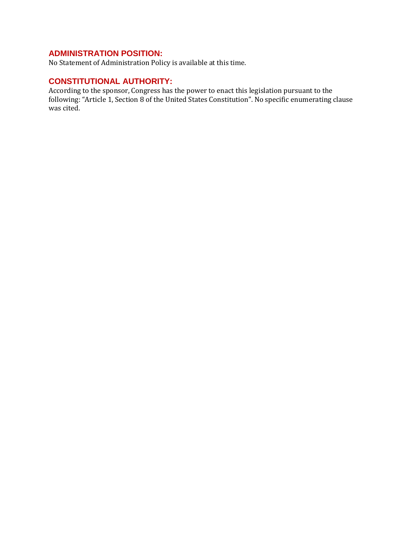No Statement of Administration Policy is available at this time.

# **CONSTITUTIONAL AUTHORITY:**

According to the sponsor, Congress has the power to enact this legislation pursuant to the following: "Article 1, Section 8 of the United States Constitution". No specific enumerating clause was cited.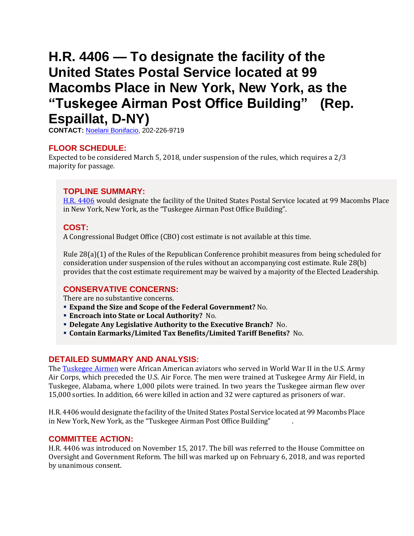# <span id="page-7-0"></span>**H.R. 4406 — To designate the facility of the United States Postal Service located at 99 Macombs Place in New York, New York, as the "Tuskegee Airman Post Office Building" (Rep. Espaillat, D-NY)**

**CONTACT:** [Noelani Bonifacio,](mailto:Noelani.Bonifacio@mail.house.gov) 202-226-9719

## **FLOOR SCHEDULE:**

Expected to be considered March 5, 2018, under suspension of the rules, which requires a 2/3 majority for passage.

## **TOPLINE SUMMARY:**

[H.R. 4406](https://www.congress.gov/115/bills/hr4406/BILLS-115hr4406ih.pdf) would designate the facility of the United States Postal Service located at 99 Macombs Place in New York, New York, as the "Tuskegee Airman Post Office Building".

## **COST:**

A Congressional Budget Office (CBO) cost estimate is not available at this time.

Rule 28(a)(1) of the Rules of the Republican Conference prohibit measures from being scheduled for consideration under suspension of the rules without an accompanying cost estimate. Rule 28(b) provides that the cost estimate requirement may be waived by a majority of the Elected Leadership.

## **CONSERVATIVE CONCERNS:**

There are no substantive concerns.

- **Expand the Size and Scope of the Federal Government?** No.
- **Encroach into State or Local Authority?** No.
- **Delegate Any Legislative Authority to the Executive Branch?** No.
- **Contain Earmarks/Limited Tax Benefits/Limited Tariff Benefits?** No.

## **DETAILED SUMMARY AND ANALYSIS:**

Th[e Tuskegee Airmen](http://www.history.com/topics/world-war-ii/tuskegee-airmen) were African American aviators who served in World War II in the U.S. Army Air Corps, which preceded the U.S. Air Force. The men were trained at Tuskegee Army Air Field, in Tuskegee, Alabama, where 1,000 pilots were trained. In two years the Tuskegee airman flew over 15,000 sorties. In addition, 66 were killed in action and 32 were captured as prisoners of war.

H.R. 4406 would designate the facility of the United States Postal Service located at 99 Macombs Place in New York, New York, as the "Tuskegee Airman Post Office Building" .

## **COMMITTEE ACTION:**

H.R. 4406 was introduced on November 15, 2017. The bill was referred to the House Committee on Oversight and Government Reform. The bill was marked up on February 6, 2018, and was reported by unanimous consent.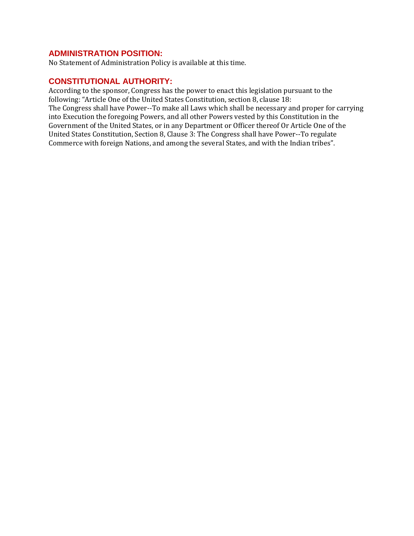No Statement of Administration Policy is available at this time.

## **CONSTITUTIONAL AUTHORITY:**

According to the sponsor, Congress has the power to enact this legislation pursuant to the following: "Article One of the United States Constitution, section 8, clause 18: The Congress shall have Power--To make all Laws which shall be necessary and proper for carrying into Execution the foregoing Powers, and all other Powers vested by this Constitution in the Government of the United States, or in any Department or Officer thereof Or Article One of the United States Constitution, Section 8, Clause 3: The Congress shall have Power--To regulate Commerce with foreign Nations, and among the several States, and with the Indian tribes".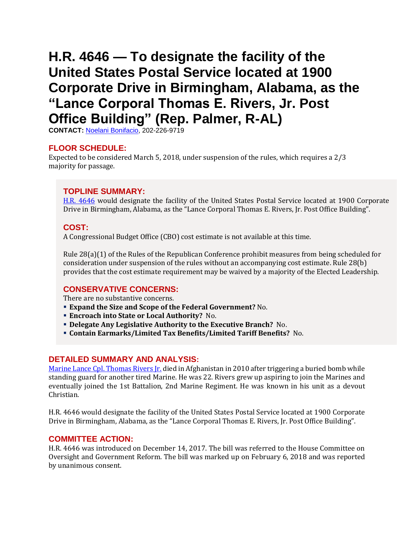# <span id="page-9-0"></span>**H.R. 4646 — To designate the facility of the United States Postal Service located at 1900 Corporate Drive in Birmingham, Alabama, as the "Lance Corporal Thomas E. Rivers, Jr. Post Office Building" (Rep. Palmer, R-AL)**

**CONTACT:** [Noelani Bonifacio,](mailto:Noelani.Bonifacio@mail.house.gov) 202-226-9719

## **FLOOR SCHEDULE:**

Expected to be considered March 5, 2018, under suspension of the rules, which requires a 2/3 majority for passage.

## **TOPLINE SUMMARY:**

[H.R. 4646](https://www.congress.gov/115/bills/hr4646/BILLS-115hr4646ih.pdf) would designate the facility of the United States Postal Service located at 1900 Corporate Drive in Birmingham, Alabama, as the "Lance Corporal Thomas E. Rivers, Jr. Post Office Building".

## **COST:**

A Congressional Budget Office (CBO) cost estimate is not available at this time.

Rule 28(a)(1) of the Rules of the Republican Conference prohibit measures from being scheduled for consideration under suspension of the rules without an accompanying cost estimate. Rule 28(b) provides that the cost estimate requirement may be waived by a majority of the Elected Leadership.

## **CONSERVATIVE CONCERNS:**

There are no substantive concerns.

- **Expand the Size and Scope of the Federal Government?** No.
- **Encroach into State or Local Authority?** No.
- **Delegate Any Legislative Authority to the Executive Branch?** No.
- **Contain Earmarks/Limited Tax Benefits/Limited Tariff Benefits?** No.

### **DETAILED SUMMARY AND ANALYSIS:**

[Marine Lance Cpl. Thomas Rivers Jr.](https://www.wsj.com/articles/SB10000872396390443545504577565510579879978) died in Afghanistan in 2010 after triggering a buried bomb while standing guard for another tired Marine. He was 22. Rivers grew up aspiring to join the Marines and eventually joined the 1st Battalion, 2nd Marine Regiment. He was known in his unit as a devout Christian.

H.R. 4646 would designate the facility of the United States Postal Service located at 1900 Corporate Drive in Birmingham, Alabama, as the "Lance Corporal Thomas E. Rivers, Jr. Post Office Building".

### **COMMITTEE ACTION:**

H.R. 4646 was introduced on December 14, 2017. The bill was referred to the House Committee on Oversight and Government Reform. The bill was marked up on February 6, 2018 and was reported by unanimous consent.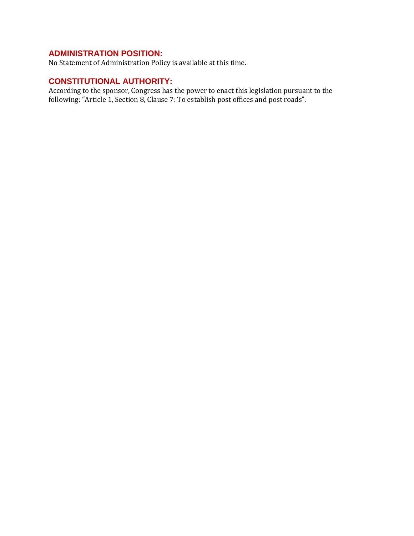No Statement of Administration Policy is available at this time.

# **CONSTITUTIONAL AUTHORITY:**

According to the sponsor, Congress has the power to enact this legislation pursuant to the following: "Article 1, Section 8, Clause 7: To establish post offices and post roads".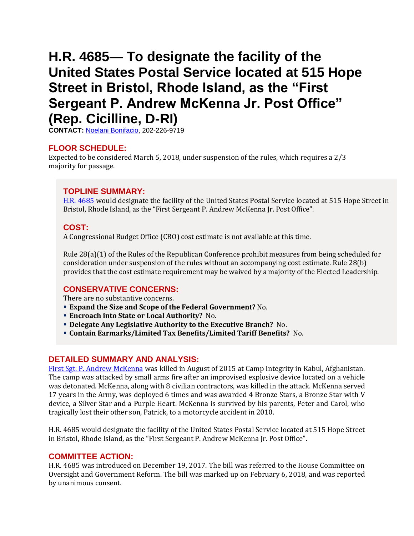# <span id="page-11-0"></span>**H.R. 4685— To designate the facility of the United States Postal Service located at 515 Hope Street in Bristol, Rhode Island, as the "First Sergeant P. Andrew McKenna Jr. Post Office" (Rep. Cicilline, D-RI)**

**CONTACT:** [Noelani Bonifacio,](mailto:Noelani.Bonifacio@mail.house.gov) 202-226-9719

## **FLOOR SCHEDULE:**

Expected to be considered March 5, 2018, under suspension of the rules, which requires a 2/3 majority for passage.

## **TOPLINE SUMMARY:**

[H.R. 4685](https://www.congress.gov/115/bills/hr4685/BILLS-115hr4685ih.pdf) would designate the facility of the United States Postal Service located at 515 Hope Street in Bristol, Rhode Island, as the "First Sergeant P. Andrew McKenna Jr. Post Office".

## **COST:**

A Congressional Budget Office (CBO) cost estimate is not available at this time.

Rule 28(a)(1) of the Rules of the Republican Conference prohibit measures from being scheduled for consideration under suspension of the rules without an accompanying cost estimate. Rule 28(b) provides that the cost estimate requirement may be waived by a majority of the Elected Leadership.

## **CONSERVATIVE CONCERNS:**

There are no substantive concerns.

- **Expand the Size and Scope of the Federal Government?** No.
- **Encroach into State or Local Authority?** No.
- **Delegate Any Legislative Authority to the Executive Branch?** No.
- **Contain Earmarks/Limited Tax Benefits/Limited Tariff Benefits?** No.

## **DETAILED SUMMARY AND ANALYSIS:**

[First Sgt. P. Andrew McKenna](https://www.armytimes.com/news/your-army/2015/08/12/green-beret-killed-in-afghanistan-recommended-for-silver-star/) was killed in August of 2015 at Camp Integrity in Kabul, Afghanistan. The camp was attacked by small arms fire after an improvised explosive device located on a vehicle was detonated. McKenna, along with 8 civilian contractors, was killed in the attack. McKenna served 17 years in the Army, was deployed 6 times and was awarded 4 Bronze Stars, a Bronze Star with V device, a Silver Star and a Purple Heart. McKenna is survived by his parents, Peter and Carol, who tragically lost their other son, Patrick, to a motorcycle accident in 2010.

H.R. 4685 would designate the facility of the United States Postal Service located at 515 Hope Street in Bristol, Rhode Island, as the "First Sergeant P. Andrew McKenna Jr. Post Office".

### **COMMITTEE ACTION:**

H.R. 4685 was introduced on December 19, 2017. The bill was referred to the House Committee on Oversight and Government Reform. The bill was marked up on February 6, 2018, and was reported by unanimous consent.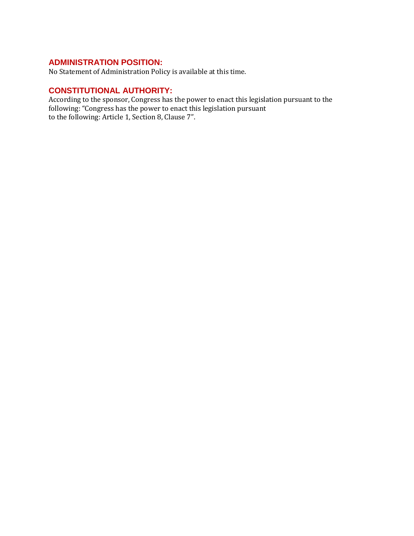No Statement of Administration Policy is available at this time.

# **CONSTITUTIONAL AUTHORITY:**

According to the sponsor, Congress has the power to enact this legislation pursuant to the following: "Congress has the power to enact this legislation pursuant to the following: Article 1, Section 8, Clause 7".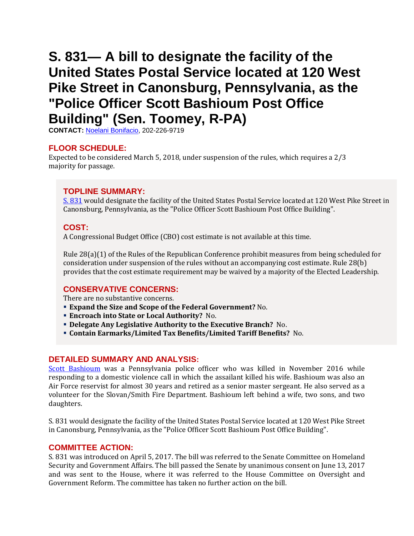# <span id="page-13-0"></span>**S. 831— A bill to designate the facility of the United States Postal Service located at 120 West Pike Street in Canonsburg, Pennsylvania, as the "Police Officer Scott Bashioum Post Office Building" (Sen. Toomey, R-PA)**

**CONTACT:** [Noelani Bonifacio,](mailto:Noelani.Bonifacio@mail.house.gov) 202-226-9719

## **FLOOR SCHEDULE:**

Expected to be considered March 5, 2018, under suspension of the rules, which requires a 2/3 majority for passage.

## **TOPLINE SUMMARY:**

[S. 831](https://www.congress.gov/115/bills/s831/BILLS-115s831rfh.pdf) would designate the facility of the United States Postal Service located at 120 West Pike Street in Canonsburg, Pennsylvania, as the "Police Officer Scott Bashioum Post Office Building".

## **COST:**

A Congressional Budget Office (CBO) cost estimate is not available at this time.

Rule 28(a)(1) of the Rules of the Republican Conference prohibit measures from being scheduled for consideration under suspension of the rules without an accompanying cost estimate. Rule 28(b) provides that the cost estimate requirement may be waived by a majority of the Elected Leadership.

### **CONSERVATIVE CONCERNS:**

There are no substantive concerns.

- **Expand the Size and Scope of the Federal Government?** No.
- **Encroach into State or Local Authority?** No.
- **Delegate Any Legislative Authority to the Executive Branch?** No.
- **Contain Earmarks/Limited Tax Benefits/Limited Tariff Benefits?** No.

### **DETAILED SUMMARY AND ANALYSIS:**

[Scott Bashioum](http://www.post-gazette.com/local/washington/2017/11/10/Canonsburg-bridge-rededicated-honor-slain-police-Officer-Scott-Bashioum/stories/201711100154) was a Pennsylvania police officer who was killed in November 2016 while responding to a domestic violence call in which the assailant killed his wife. Bashioum was also an Air Force reservist for almost 30 years and retired as a senior master sergeant. He also served as a volunteer for the Slovan/Smith Fire Department. Bashioum left behind a wife, two sons, and two daughters.

S. 831 would designate the facility of the United States Postal Service located at 120 West Pike Street in Canonsburg, Pennsylvania, as the "Police Officer Scott Bashioum Post Office Building".

### **COMMITTEE ACTION:**

S. 831 was introduced on April 5, 2017. The bill was referred to the Senate Committee on Homeland Security and Government Affairs. The bill passed the Senate by unanimous consent on June 13, 2017 and was sent to the House, where it was referred to the House Committee on Oversight and Government Reform. The committee has taken no further action on the bill.